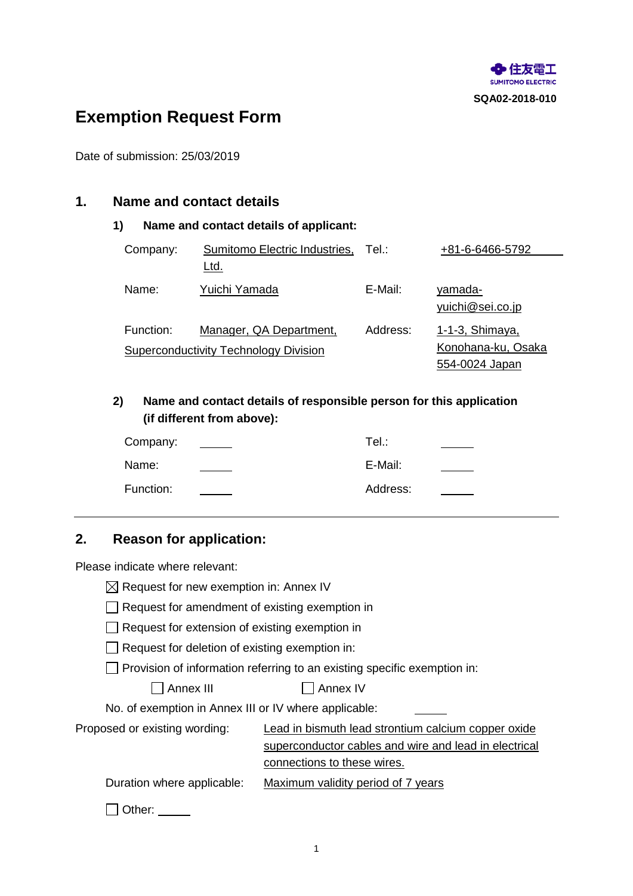

# **Exemption Request Form**

Date of submission: 25/03/2019

# **1. Name and contact details**

#### **1) Name and contact details of applicant:**

| Company:  | Sumitomo Electric Industries,                                           | Tel∴     | +81-6-6466-5792                                         |
|-----------|-------------------------------------------------------------------------|----------|---------------------------------------------------------|
|           | Ltd.                                                                    |          |                                                         |
| Name:     | Yuichi Yamada                                                           | E-Mail:  | <u>yamada-</u><br>yuichi@sei.co.jp                      |
| Function: | Manager, QA Department,<br><b>Superconductivity Technology Division</b> | Address: | 1-1-3, Shimaya,<br>Konohana-ku, Osaka<br>554-0024 Japan |

**2) Name and contact details of responsible person for this application (if different from above):**

| Company:  | Tel.∶    |  |
|-----------|----------|--|
| Name:     | E-Mail:  |  |
| Function: | Address: |  |

# **2. Reason for application:**

Please indicate where relevant:

 $\boxtimes$  Request for new exemption in: Annex IV

- Request for amendment of existing exemption in
- Request for extension of existing exemption in
- $\Box$  Request for deletion of existing exemption in:

 $\Box$  Provision of information referring to an existing specific exemption in:

Annex III Annex IV

No. of exemption in Annex III or IV where applicable:

| NO. Of exemption in Annex III or IV where applicable: |                                                       |
|-------------------------------------------------------|-------------------------------------------------------|
| Proposed or existing wording:                         | Lead in bismuth lead strontium calcium copper oxide   |
|                                                       | superconductor cables and wire and lead in electrical |
|                                                       | connections to these wires.                           |
| Duration where applicable:                            | Maximum validity period of 7 years                    |
| ∩ Other: <u>______</u>                                |                                                       |

1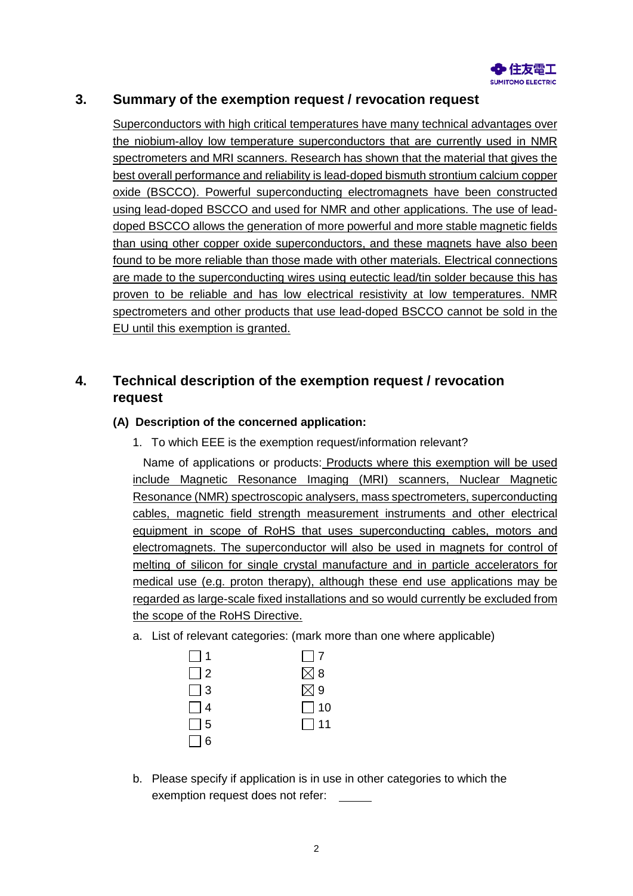

# **3. Summary of the exemption request / revocation request**

Superconductors with high critical temperatures have many technical advantages over the niobium-alloy low temperature superconductors that are currently used in NMR spectrometers and MRI scanners. Research has shown that the material that gives the best overall performance and reliability is lead-doped bismuth strontium calcium copper oxide (BSCCO). Powerful superconducting electromagnets have been constructed using lead-doped BSCCO and used for NMR and other applications. The use of leaddoped BSCCO allows the generation of more powerful and more stable magnetic fields than using other copper oxide superconductors, and these magnets have also been found to be more reliable than those made with other materials. Electrical connections are made to the superconducting wires using eutectic lead/tin solder because this has proven to be reliable and has low electrical resistivity at low temperatures. NMR spectrometers and other products that use lead-doped BSCCO cannot be sold in the EU until this exemption is granted.

# **4. Technical description of the exemption request / revocation request**

## **(A) Description of the concerned application:**

1. To which EEE is the exemption request/information relevant?

Name of applications or products: Products where this exemption will be used include Magnetic Resonance Imaging (MRI) scanners, Nuclear Magnetic Resonance (NMR) spectroscopic analysers, mass spectrometers, superconducting cables, magnetic field strength measurement instruments and other electrical equipment in scope of RoHS that uses superconducting cables, motors and electromagnets. The superconductor will also be used in magnets for control of melting of silicon for single crystal manufacture and in particle accelerators for medical use (e.g. proton therapy), although these end use applications may be regarded as large-scale fixed installations and so would currently be excluded from the scope of the RoHS Directive.

a. List of relevant categories: (mark more than one where applicable)

| $\vert$ 1 | $\Box$ 7      |
|-----------|---------------|
| $\Box$ 2  | $\boxtimes$ 8 |
| $\Box$ 3  | $\boxtimes$ 9 |
| $\Box$ 4  | $\Box$ 10     |
| $\Box$ 5  | $\Box$ 11     |
| $\Box$ 6  |               |

b. Please specify if application is in use in other categories to which the exemption request does not refer: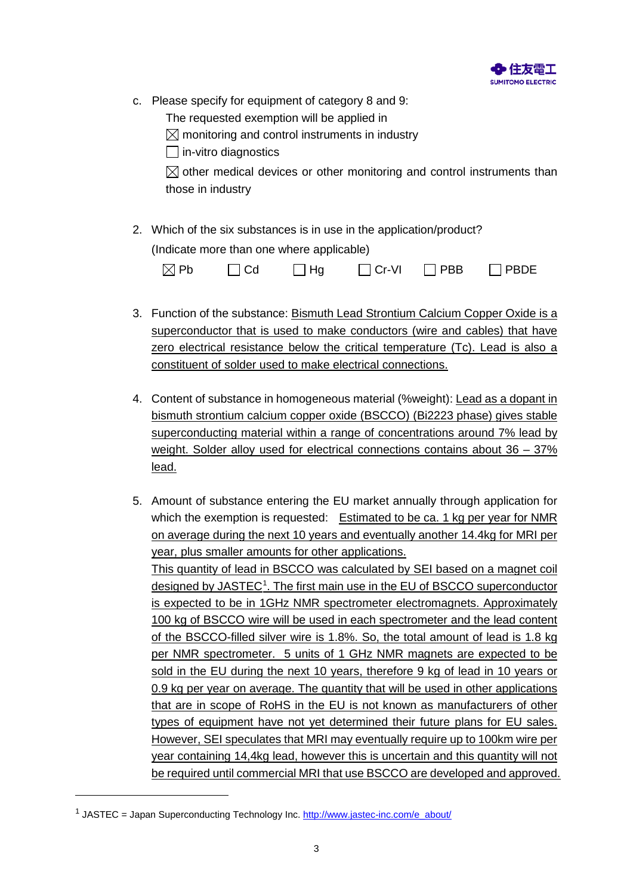

- c. Please specify for equipment of category 8 and 9:
	- The requested exemption will be applied in
	- $\boxtimes$  monitoring and control instruments in industry

 $\Box$  in-vitro diagnostics

 $\boxtimes$  other medical devices or other monitoring and control instruments than those in industry

2. Which of the six substances is in use in the application/product? (Indicate more than one where applicable)

| $\boxtimes$ Pb | $\Box$ Cd | $\Box$ Hg | $\Box$ Cr-VI | $\Box$ PBB | $\Box$ PBDE |
|----------------|-----------|-----------|--------------|------------|-------------|
|----------------|-----------|-----------|--------------|------------|-------------|

- 3. Function of the substance: Bismuth Lead Strontium Calcium Copper Oxide is a superconductor that is used to make conductors (wire and cables) that have zero electrical resistance below the critical temperature (Tc). Lead is also a constituent of solder used to make electrical connections.
- 4. Content of substance in homogeneous material (%weight): Lead as a dopant in bismuth strontium calcium copper oxide (BSCCO) (Bi2223 phase) gives stable superconducting material within a range of concentrations around 7% lead by weight. Solder alloy used for electrical connections contains about 36 – 37% lead.
- 5. Amount of substance entering the EU market annually through application for which the exemption is requested: Estimated to be ca. 1 kg per year for NMR on average during the next 10 years and eventually another 14.4kg for MRI per year, plus smaller amounts for other applications. This quantity of lead in BSCCO was calculated by SEI based on a magnet coil designed by JASTEC<sup>[1](#page-2-0)</sup>. The first main use in the EU of BSCCO superconductor is expected to be in 1GHz NMR spectrometer electromagnets. Approximately 100 kg of BSCCO wire will be used in each spectrometer and the lead content of the BSCCO-filled silver wire is 1.8%. So, the total amount of lead is 1.8 kg per NMR spectrometer. 5 units of 1 GHz NMR magnets are expected to be sold in the EU during the next 10 years, therefore 9 kg of lead in 10 years or 0.9 kg per year on average. The quantity that will be used in other applications that are in scope of RoHS in the EU is not known as manufacturers of other types of equipment have not yet determined their future plans for EU sales. However, SEI speculates that MRI may eventually require up to 100km wire per year containing 14,4kg lead, however this is uncertain and this quantity will not be required until commercial MRI that use BSCCO are developed and approved.

<span id="page-2-0"></span> $1$  JASTEC = Japan Superconducting Technology Inc. [http://www.jastec-inc.com/e\\_about/](http://www.jastec-inc.com/e_about/)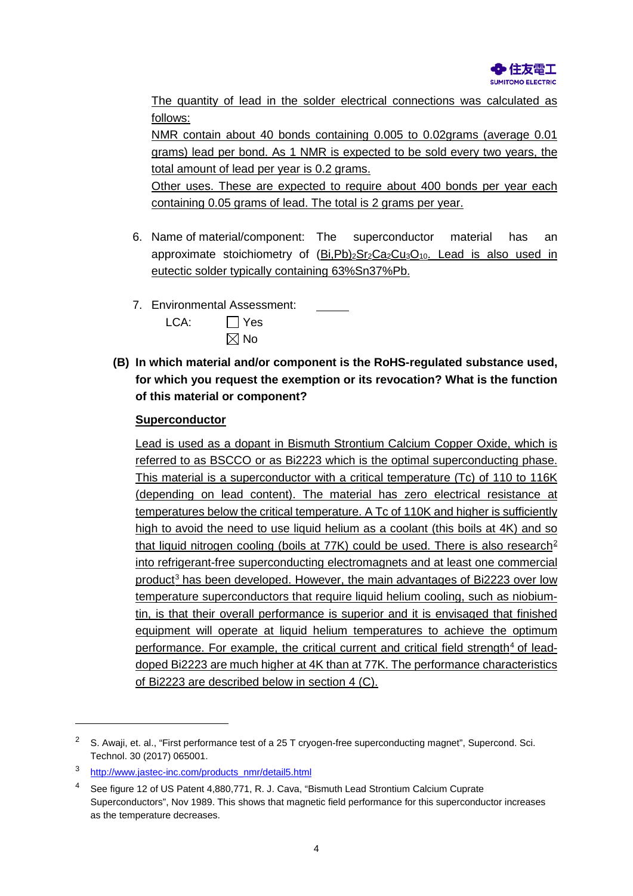

The quantity of lead in the solder electrical connections was calculated as follows:

NMR contain about 40 bonds containing 0.005 to 0.02grams (average 0.01 grams) lead per bond. As 1 NMR is expected to be sold every two years, the total amount of lead per year is 0.2 grams.

Other uses. These are expected to require about 400 bonds per year each containing 0.05 grams of lead. The total is 2 grams per year.

- 6. Name of material/component: The superconductor material has an approximate stoichiometry of  $(Bi, Pb)<sub>2</sub> Sr<sub>2</sub> Ca<sub>2</sub> Cu<sub>3</sub>O<sub>10</sub>$ . Lead is also used in eutectic solder typically containing 63%Sn37%Pb.
- 7. Environmental Assessment:

| LCA: | $\Box$ Yes     |
|------|----------------|
|      | $\boxtimes$ No |

**(B) In which material and/or component is the RoHS-regulated substance used, for which you request the exemption or its revocation? What is the function of this material or component?**

## **Superconductor**

<span id="page-3-3"></span>Lead is used as a dopant in Bismuth Strontium Calcium Copper Oxide, which is referred to as BSCCO or as Bi2223 which is the optimal superconducting phase. This material is a superconductor with a critical temperature (Tc) of 110 to 116K (depending on lead content). The material has zero electrical resistance at temperatures below the critical temperature. A Tc of 110K and higher is sufficiently high to avoid the need to use liquid helium as a coolant (this boils at 4K) and so that liquid nitrogen cooling (boils at 77K) could be used. There is also research<sup>[2](#page-3-0)</sup> into refrigerant-free superconducting electromagnets and at least one commercial product[3](#page-3-1) has been developed. However, the main advantages of Bi2223 over low temperature superconductors that require liquid helium cooling, such as niobiumtin, is that their overall performance is superior and it is envisaged that finished equipment will operate at liquid helium temperatures to achieve the optimum performance. For example, the critical current and critical field strength $4$  of leaddoped Bi2223 are much higher at 4K than at 77K. The performance characteristics of Bi2223 are described below in section 4 (C).

<span id="page-3-0"></span><sup>&</sup>lt;sup>2</sup> S. Awaii, et. al., "First performance test of a 25 T cryogen-free superconducting magnet", Supercond. Sci. Technol. 30 (2017) 065001.

<span id="page-3-1"></span><sup>3</sup> [http://www.jastec-inc.com/products\\_nmr/detail5.html](http://www.jastec-inc.com/products_nmr/detail5.html)

<span id="page-3-2"></span><sup>4</sup> See figure 12 of US Patent 4,880,771, R. J. Cava, "Bismuth Lead Strontium Calcium Cuprate Superconductors", Nov 1989. This shows that magnetic field performance for this superconductor increases as the temperature decreases.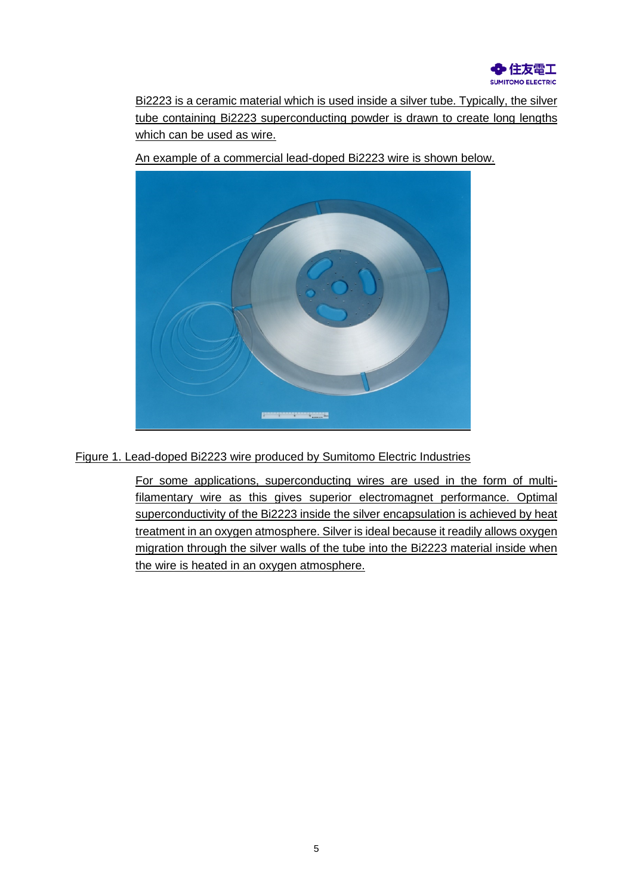

Bi2223 is a ceramic material which is used inside a silver tube. Typically, the silver tube containing Bi2223 superconducting powder is drawn to create long lengths which can be used as wire.

An example of a commercial lead-doped Bi2223 wire is shown below.



Figure 1. Lead-doped Bi2223 wire produced by Sumitomo Electric Industries

For some applications, superconducting wires are used in the form of multifilamentary wire as this gives superior electromagnet performance. Optimal superconductivity of the Bi2223 inside the silver encapsulation is achieved by heat treatment in an oxygen atmosphere. Silver is ideal because it readily allows oxygen migration through the silver walls of the tube into the Bi2223 material inside when the wire is heated in an oxygen atmosphere.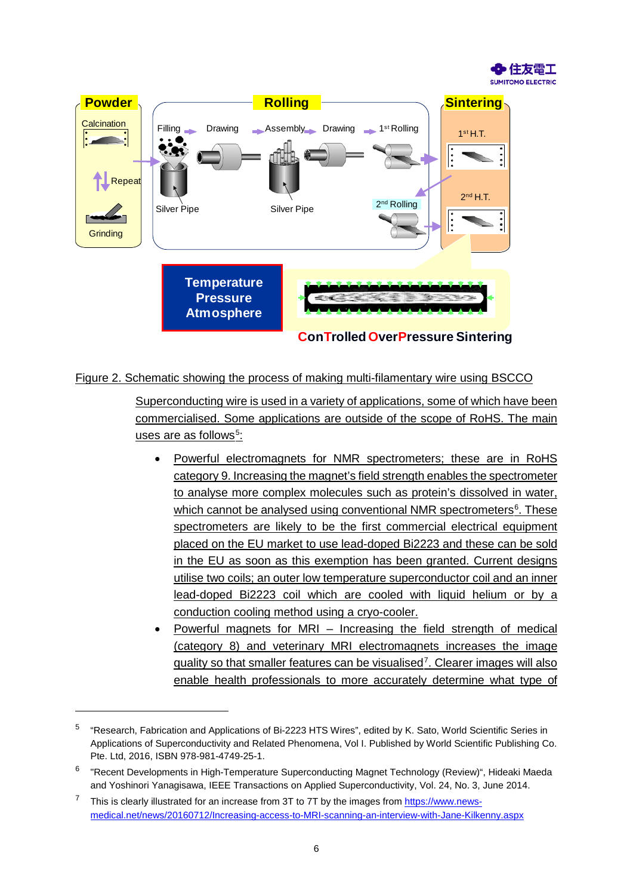



#### Figure 2. Schematic showing the process of making multi-filamentary wire using BSCCO

Superconducting wire is used in a variety of applications, some of which have been commercialised. Some applications are outside of the scope of RoHS. The main <u>uses are as follows<sup>[5](#page-5-0)</sup>:</u>

- <span id="page-5-4"></span><span id="page-5-3"></span>• Powerful electromagnets for NMR spectrometers; these are in RoHS category 9. Increasing the magnet's field strength enables the spectrometer to analyse more complex molecules such as protein's dissolved in water, which cannot be analysed using conventional NMR spectrometers<sup>[6](#page-5-1)</sup>. These spectrometers are likely to be the first commercial electrical equipment placed on the EU market to use lead-doped Bi2223 and these can be sold in the EU as soon as this exemption has been granted. Current designs utilise two coils; an outer low temperature superconductor coil and an inner lead-doped Bi2223 coil which are cooled with liquid helium or by a conduction cooling method using a cryo-cooler.
- Powerful magnets for MRI Increasing the field strength of medical (category 8) and veterinary MRI electromagnets increases the image quality so that smaller features can be visualised<sup>[7](#page-5-2)</sup>. Clearer images will also enable health professionals to more accurately determine what type of

<span id="page-5-0"></span><sup>5</sup> "Research, Fabrication and Applications of Bi-2223 HTS Wires", edited by K. Sato, World Scientific Series in Applications of Superconductivity and Related Phenomena, Vol I. Published by World Scientific Publishing Co. Pte. Ltd, 2016, ISBN 978-981-4749-25-1.

<span id="page-5-1"></span><sup>6</sup> "Recent Developments in High-Temperature Superconducting Magnet Technology (Review)", Hideaki Maeda and Yoshinori Yanagisawa, IEEE Transactions on Applied Superconductivity, Vol. 24, No. 3, June 2014.

<span id="page-5-2"></span> $7$  This is clearly illustrated for an increase from 3T to 7T by the images fro[m https://www.news](https://www.news-medical.net/news/20160712/Increasing-access-to-MRI-scanning-an-interview-with-Jane-Kilkenny.aspx)[medical.net/news/20160712/Increasing-access-to-MRI-scanning-an-interview-with-Jane-Kilkenny.aspx](https://www.news-medical.net/news/20160712/Increasing-access-to-MRI-scanning-an-interview-with-Jane-Kilkenny.aspx)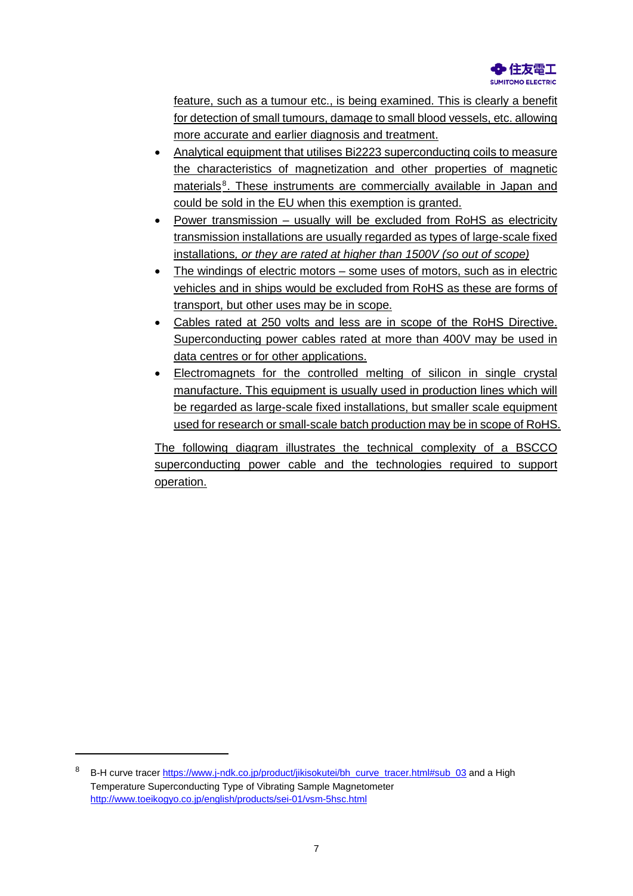

feature, such as a tumour etc., is being examined. This is clearly a benefit for detection of small tumours, damage to small blood vessels, etc. allowing more accurate and earlier diagnosis and treatment.

- Analytical equipment that utilises Bi2223 superconducting coils to measure the characteristics of magnetization and other properties of magnetic materials<sup>[8](#page-6-0)</sup>. These instruments are commercially available in Japan and could be sold in the EU when this exemption is granted.
- Power transmission usually will be excluded from RoHS as electricity transmission installations are usually regarded as types of large-scale fixed installations*, or they are rated at higher than 1500V (so out of scope)*
- The windings of electric motors some uses of motors, such as in electric vehicles and in ships would be excluded from RoHS as these are forms of transport, but other uses may be in scope.
- Cables rated at 250 volts and less are in scope of the RoHS Directive. Superconducting power cables rated at more than 400V may be used in data centres or for other applications.
- Electromagnets for the controlled melting of silicon in single crystal manufacture. This equipment is usually used in production lines which will be regarded as large-scale fixed installations, but smaller scale equipment used for research or small-scale batch production may be in scope of RoHS.

The following diagram illustrates the technical complexity of a BSCCO superconducting power cable and the technologies required to support operation.

<span id="page-6-0"></span>B-H curve tracer [https://www.j-ndk.co.jp/product/jikisokutei/bh\\_curve\\_tracer.html#sub\\_03](https://www.j-ndk.co.jp/product/jikisokutei/bh_curve_tracer.html#sub_03) and a High Temperature Superconducting Type of Vibrating Sample Magnetometer <http://www.toeikogyo.co.jp/english/products/sei-01/vsm-5hsc.html>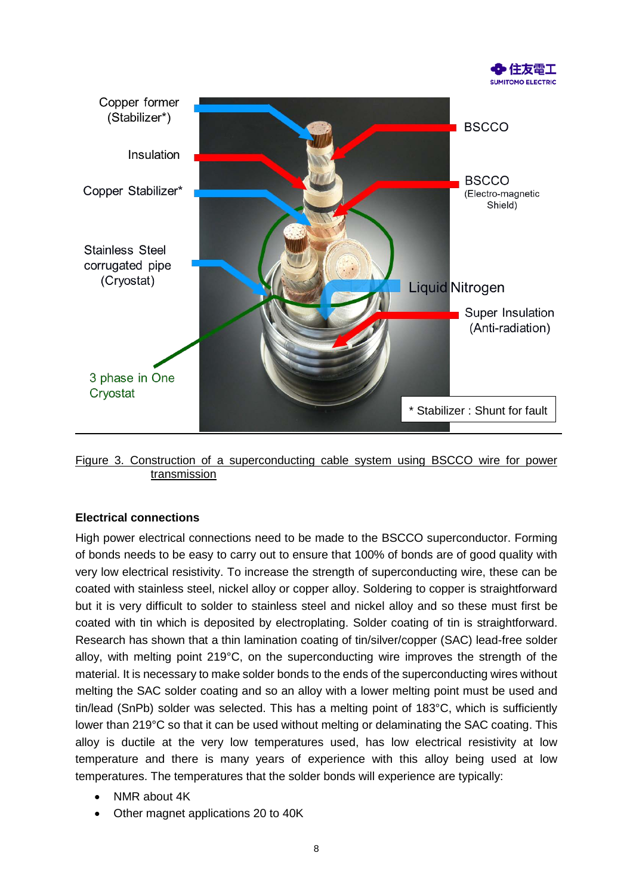



Figure 3. Construction of a superconducting cable system using BSCCO wire for power transmission

#### **Electrical connections**

High power electrical connections need to be made to the BSCCO superconductor. Forming of bonds needs to be easy to carry out to ensure that 100% of bonds are of good quality with very low electrical resistivity. To increase the strength of superconducting wire, these can be coated with stainless steel, nickel alloy or copper alloy. Soldering to copper is straightforward but it is very difficult to solder to stainless steel and nickel alloy and so these must first be coated with tin which is deposited by electroplating. Solder coating of tin is straightforward. Research has shown that a thin lamination coating of tin/silver/copper (SAC) lead-free solder alloy, with melting point 219°C, on the superconducting wire improves the strength of the material. It is necessary to make solder bonds to the ends of the superconducting wires without melting the SAC solder coating and so an alloy with a lower melting point must be used and tin/lead (SnPb) solder was selected. This has a melting point of 183°C, which is sufficiently lower than 219°C so that it can be used without melting or delaminating the SAC coating. This alloy is ductile at the very low temperatures used, has low electrical resistivity at low temperature and there is many years of experience with this alloy being used at low temperatures. The temperatures that the solder bonds will experience are typically:

- NMR about 4K
- Other magnet applications 20 to 40K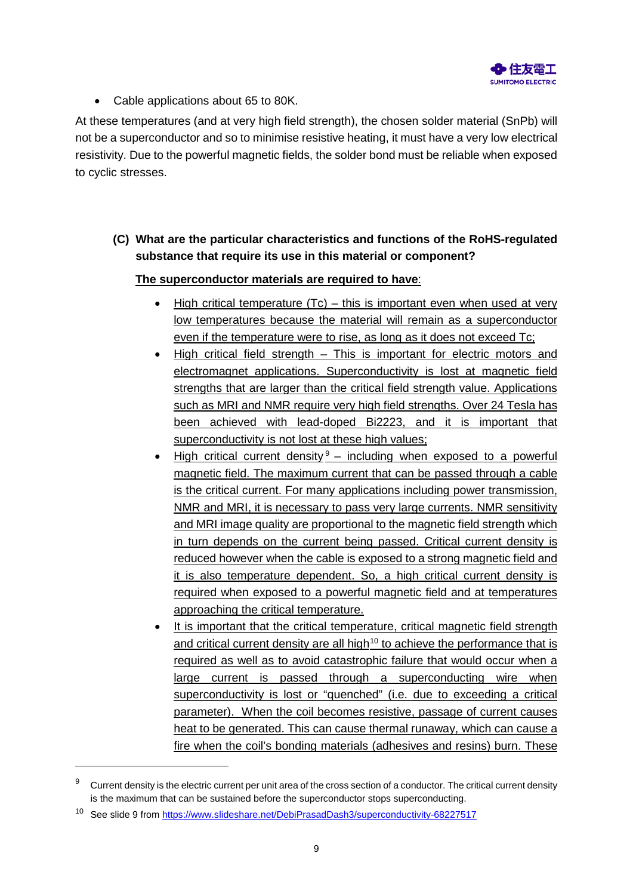

• Cable applications about 65 to 80K.

At these temperatures (and at very high field strength), the chosen solder material (SnPb) will not be a superconductor and so to minimise resistive heating, it must have a very low electrical resistivity. Due to the powerful magnetic fields, the solder bond must be reliable when exposed to cyclic stresses.

**(C) What are the particular characteristics and functions of the RoHS-regulated substance that require its use in this material or component?**

## **The superconductor materials are required to have**:

- High critical temperature  $(TC)$  this is important even when used at very low temperatures because the material will remain as a superconductor even if the temperature were to rise, as long as it does not exceed Tc;
- High critical field strength This is important for electric motors and electromagnet applications. Superconductivity is lost at magnetic field strengths that are larger than the critical field strength value. Applications such as MRI and NMR require very high field strengths. Over 24 Tesla has been achieved with lead-doped Bi2223, and it is important that superconductivity is not lost at these high values;
- High critical current density  $9 9 -$  including when exposed to a powerful magnetic field. The maximum current that can be passed through a cable is the critical current. For many applications including power transmission, NMR and MRI, it is necessary to pass very large currents. NMR sensitivity and MRI image quality are proportional to the magnetic field strength which in turn depends on the current being passed. Critical current density is reduced however when the cable is exposed to a strong magnetic field and it is also temperature dependent. So, a high critical current density is required when exposed to a powerful magnetic field and at temperatures approaching the critical temperature.
- It is important that the critical temperature, critical magnetic field strength and critical current density are all high<sup>[10](#page-8-1)</sup> to achieve the performance that is required as well as to avoid catastrophic failure that would occur when a large current is passed through a superconducting wire when superconductivity is lost or "quenched" (i.e. due to exceeding a critical parameter). When the coil becomes resistive, passage of current causes heat to be generated. This can cause thermal runaway, which can cause a fire when the coil's bonding materials (adhesives and resins) burn. These

<span id="page-8-0"></span>Current density is the electric current per unit area of the cross section of a conductor. The critical current density is the maximum that can be sustained before the superconductor stops superconducting.

<span id="page-8-1"></span><sup>10</sup> See slide 9 fro[m https://www.slideshare.net/DebiPrasadDash3/superconductivity-68227517](https://www.slideshare.net/DebiPrasadDash3/superconductivity-68227517)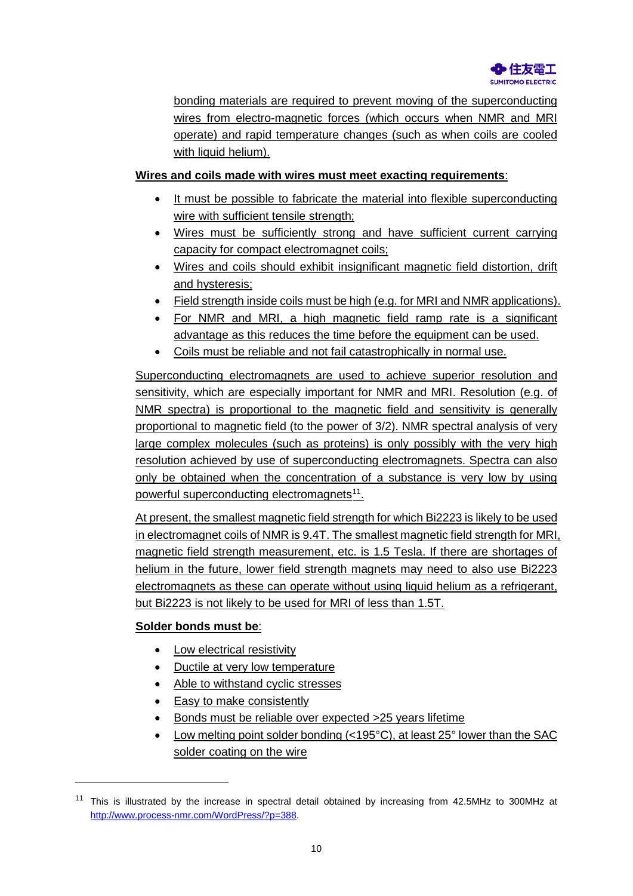

bonding materials are required to prevent moving of the superconducting wires from electro-magnetic forces (which occurs when NMR and MRI operate) and rapid temperature changes (such as when coils are cooled with liquid helium).

# **Wires and coils made with wires must meet exacting requirements**:

- It must be possible to fabricate the material into flexible superconducting wire with sufficient tensile strength;
- Wires must be sufficiently strong and have sufficient current carrying capacity for compact electromagnet coils;
- Wires and coils should exhibit insignificant magnetic field distortion, drift and hysteresis;
- Field strength inside coils must be high (e.g. for MRI and NMR applications).
- For NMR and MRI, a high magnetic field ramp rate is a significant advantage as this reduces the time before the equipment can be used.
- Coils must be reliable and not fail catastrophically in normal use.

Superconducting electromagnets are used to achieve superior resolution and sensitivity, which are especially important for NMR and MRI. Resolution (e.g. of NMR spectra) is proportional to the magnetic field and sensitivity is generally proportional to magnetic field (to the power of 3/2). NMR spectral analysis of very large complex molecules (such as proteins) is only possibly with the very high resolution achieved by use of superconducting electromagnets. Spectra can also only be obtained when the concentration of a substance is very low by using powerful superconducting electromagnets<sup>[11](#page-9-0)</sup>.

At present, the smallest magnetic field strength for which Bi2223 is likely to be used in electromagnet coils of NMR is 9.4T. The smallest magnetic field strength for MRI, magnetic field strength measurement, etc. is 1.5 Tesla. If there are shortages of helium in the future, lower field strength magnets may need to also use Bi2223 electromagnets as these can operate without using liquid helium as a refrigerant, but Bi2223 is not likely to be used for MRI of less than 1.5T.

## **Solder bonds must be**:

- Low electrical resistivity
- Ductile at very low temperature
- Able to withstand cyclic stresses
- Easy to make consistently
- Bonds must be reliable over expected >25 years lifetime
- Low melting point solder bonding (<195°C), at least 25° lower than the SAC solder coating on the wire

<span id="page-9-0"></span><sup>&</sup>lt;sup>11</sup> This is illustrated by the increase in spectral detail obtained by increasing from 42.5MHz to 300MHz at [http://www.process-nmr.com/WordPress/?p=388.](http://www.process-nmr.com/WordPress/?p=388)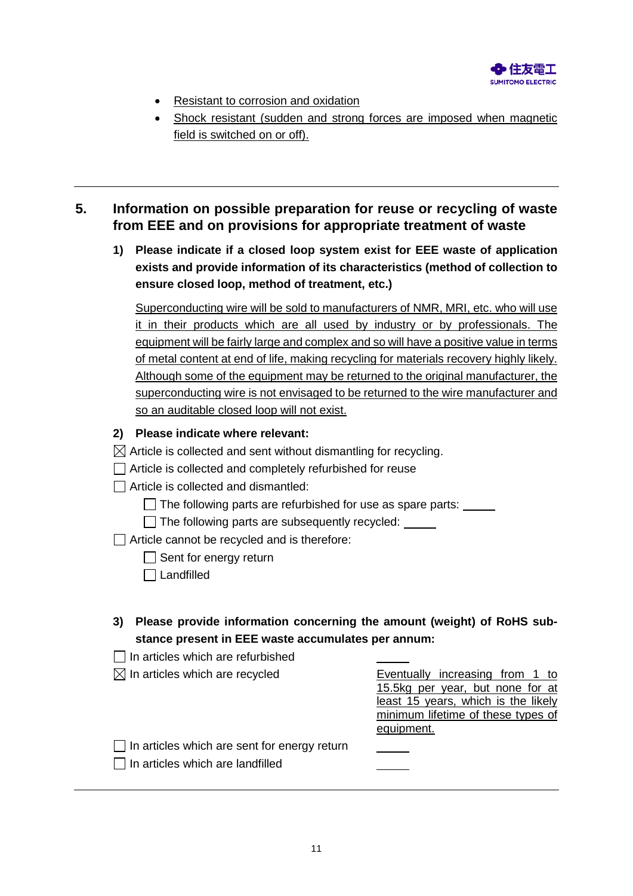

- Resistant to corrosion and oxidation
- Shock resistant (sudden and strong forces are imposed when magnetic field is switched on or off).

# **5. Information on possible preparation for reuse or recycling of waste from EEE and on provisions for appropriate treatment of waste**

**1) Please indicate if a closed loop system exist for EEE waste of application exists and provide information of its characteristics (method of collection to ensure closed loop, method of treatment, etc.)**

Superconducting wire will be sold to manufacturers of NMR, MRI, etc. who will use it in their products which are all used by industry or by professionals. The equipment will be fairly large and complex and so will have a positive value in terms of metal content at end of life, making recycling for materials recovery highly likely. Although some of the equipment may be returned to the original manufacturer, the superconducting wire is not envisaged to be returned to the wire manufacturer and so an auditable closed loop will not exist.

## **2) Please indicate where relevant:**

- $\boxtimes$  Article is collected and sent without dismantling for recycling.
- Article is collected and completely refurbished for reuse

 $\Box$  Article is collected and dismantled:

 $\Box$  The following parts are refurbished for use as spare parts:  $\Box$ 

 $\Box$  The following parts are subsequently recycled:

Article cannot be recycled and is therefore:

- $\Box$  Sent for energy return
- $\Box$  Landfilled
- **3) Please provide information concerning the amount (weight) of RoHS substance present in EEE waste accumulates per annum:**
- $\Box$  In articles which are refurbished

| $\boxtimes$ In articles which are recycled          | Eventually increasing from 1 to     |
|-----------------------------------------------------|-------------------------------------|
|                                                     | 15.5kg per year, but none for at    |
|                                                     | least 15 years, which is the likely |
|                                                     | minimum lifetime of these types of  |
|                                                     | equipment.                          |
| $\Box$ In articles which are sent for energy return |                                     |
| In articles which are landfilled                    |                                     |
|                                                     |                                     |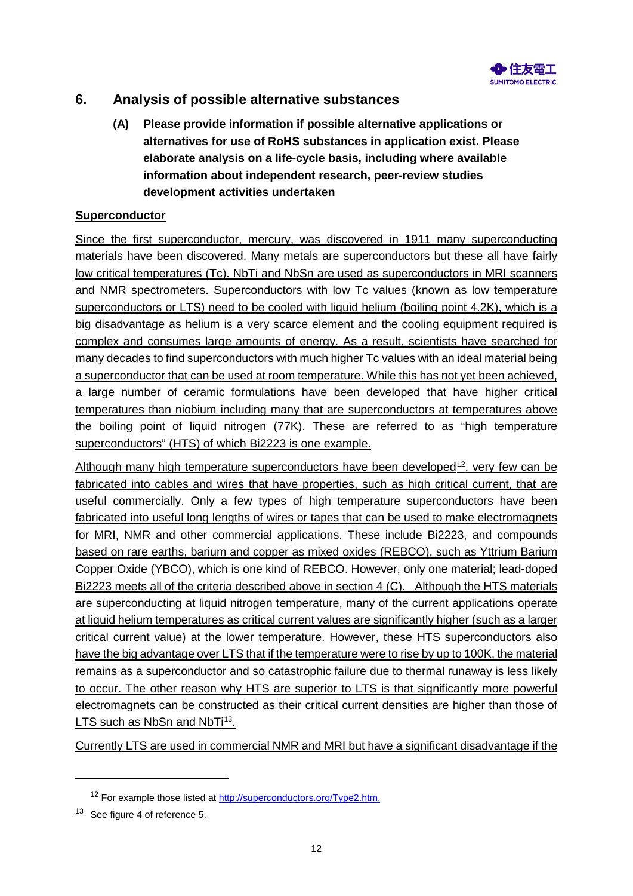

# **6. Analysis of possible alternative substances**

**(A) Please provide information if possible alternative applications or alternatives for use of RoHS substances in application exist. Please elaborate analysis on a life-cycle basis, including where available information about independent research, peer-review studies development activities undertaken**

#### **Superconductor**

Since the first superconductor, mercury, was discovered in 1911 many superconducting materials have been discovered. Many metals are superconductors but these all have fairly low critical temperatures (Tc). NbTi and NbSn are used as superconductors in MRI scanners and NMR spectrometers. Superconductors with low Tc values (known as low temperature superconductors or LTS) need to be cooled with liquid helium (boiling point 4.2K), which is a big disadvantage as helium is a very scarce element and the cooling equipment required is complex and consumes large amounts of energy. As a result, scientists have searched for many decades to find superconductors with much higher Tc values with an ideal material being a superconductor that can be used at room temperature. While this has not yet been achieved, a large number of ceramic formulations have been developed that have higher critical temperatures than niobium including many that are superconductors at temperatures above the boiling point of liquid nitrogen (77K). These are referred to as "high temperature superconductors" (HTS) of which Bi2223 is one example.

<span id="page-11-2"></span>Although many high temperature superconductors have been developed<sup>12</sup>, very few can be fabricated into cables and wires that have properties, such as high critical current, that are useful commercially. Only a few types of high temperature superconductors have been fabricated into useful long lengths of wires or tapes that can be used to make electromagnets for MRI, NMR and other commercial applications. These include Bi2223, and compounds based on rare earths, barium and copper as mixed oxides (REBCO), such as Yttrium Barium Copper Oxide (YBCO), which is one kind of REBCO. However, only one material; lead-doped Bi2223 meets all of the criteria described above in section 4 (C). Although the HTS materials are superconducting at liquid nitrogen temperature, many of the current applications operate at liquid helium temperatures as critical current values are significantly higher (such as a larger critical current value) at the lower temperature. However, these HTS superconductors also have the big advantage over LTS that if the temperature were to rise by up to 100K, the material remains as a superconductor and so catastrophic failure due to thermal runaway is less likely to occur. The other reason why HTS are superior to LTS is that significantly more powerful electromagnets can be constructed as their critical current densities are higher than those of LTS such as NbSn and NbTi<sup>13</sup>.

<span id="page-11-3"></span>Currently LTS are used in commercial NMR and MRI but have a significant disadvantage if the

<sup>&</sup>lt;sup>12</sup> For example those listed at [http://superconductors.org/Type2.htm.](http://superconductors.org/Type2.htm)

<span id="page-11-1"></span><span id="page-11-0"></span><sup>&</sup>lt;sup>13</sup> See figure 4 of referenc[e 5.](#page-5-3)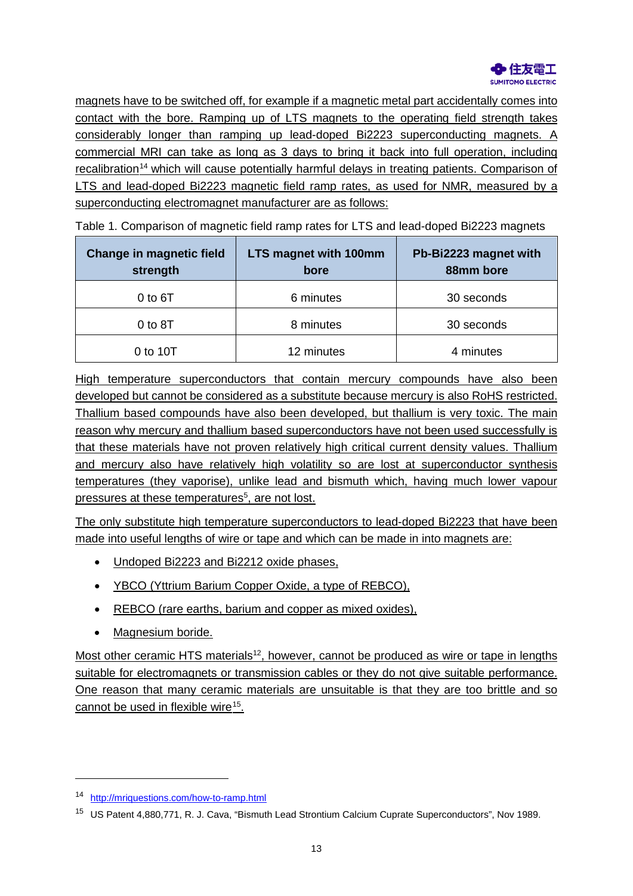

magnets have to be switched off, for example if a magnetic metal part accidentally comes into contact with the bore. Ramping up of LTS magnets to the operating field strength takes considerably longer than ramping up lead-doped Bi2223 superconducting magnets. A commercial MRI can take as long as 3 days to bring it back into full operation, including recalibration<sup>[14](#page-12-0)</sup> which will cause potentially harmful delays in treating patients. Comparison of LTS and lead-doped Bi2223 magnetic field ramp rates, as used for NMR, measured by a superconducting electromagnet manufacturer are as follows:

**Change in magnetic field strength LTS magnet with 100mm bore Pb-Bi2223 magnet with 88mm bore** 0 to 6T and 6 minutes and 50 seconds 0 to 8T and 1 and 1 and 1 and 1 and 1 and 1 and 1 and 1 and 1 and 1 and 1 and 1 and 1 and 1 and 1 and 1 and 1 a 0 to 10T 12 minutes 12 minutes 12 minutes

Table 1. Comparison of magnetic field ramp rates for LTS and lead-doped Bi2223 magnets

High temperature superconductors that contain mercury compounds have also been developed but cannot be considered as a substitute because mercury is also RoHS restricted. Thallium based compounds have also been developed, but thallium is very toxic. The main reason why mercury and thallium based superconductors have not been used successfully is that these materials have not proven relatively high critical current density values. Thallium and mercury also have relatively high volatility so are lost at superconductor synthesis temperatures (they vaporise), unlike lead and bismuth which, having much lower vapour pressures at these temperatures<sup>5</sup>, are not lost.

The only substitute high temperature superconductors to lead-doped Bi2223 that have been made into useful lengths of wire or tape and which can be made in into magnets are:

- Undoped Bi2223 and Bi2212 oxide phases,
- YBCO (Yttrium Barium Copper Oxide, a type of REBCO),
- REBCO (rare earths, barium and copper as mixed oxides),
- <span id="page-12-2"></span>• Magnesium boride.

Most other ceramic HTS materials<sup>12</sup>, however, cannot be produced as wire or tape in lengths suitable for electromagnets or transmission cables or they do not give suitable performance. One reason that many ceramic materials are unsuitable is that they are too brittle and so cannot be used in flexible wire<sup>15</sup>.

<span id="page-12-0"></span><sup>14</sup> <http://mriquestions.com/how-to-ramp.html>

<span id="page-12-1"></span><sup>15</sup> US Patent 4,880,771, R. J. Cava, "Bismuth Lead Strontium Calcium Cuprate Superconductors", Nov 1989.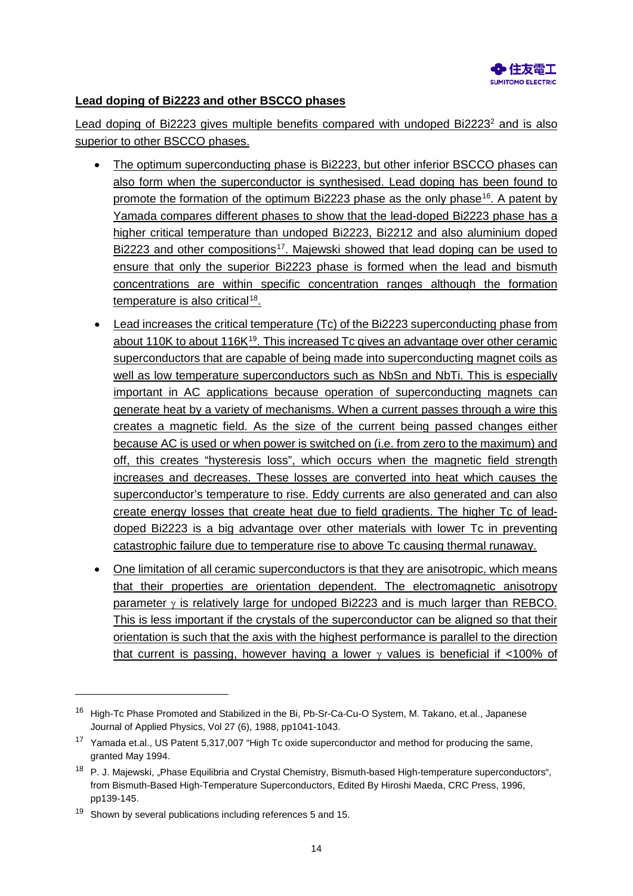

#### **Lead doping of Bi2223 and other BSCCO phases**

Lead doping of Bi2223 gives multiple benefits compared with undoped Bi2223<sup>2</sup> and is also superior to other BSCCO phases.

- The optimum superconducting phase is Bi2223, but other inferior BSCCO phases can also form when the superconductor is synthesised. Lead doping has been found to promote the formation of the optimum Bi2223 phase as the only phase[16.](#page-13-0) A patent by Yamada compares different phases to show that the lead-doped Bi2223 phase has a higher critical temperature than undoped Bi2223, Bi2212 and also aluminium doped Bi2223 and other compositions<sup>[17](#page-13-1)</sup>. Majewski showed that lead doping can be used to ensure that only the superior Bi2223 phase is formed when the lead and bismuth concentrations are within specific concentration ranges although the formation temperature is also critical<sup>18</sup>.
- Lead increases the critical temperature (Tc) of the Bi2223 superconducting phase from about 110K to about 116K<sup>19</sup>. This increased Tc gives an advantage over other ceramic superconductors that are capable of being made into superconducting magnet coils as well as low temperature superconductors such as NbSn and NbTi. This is especially important in AC applications because operation of superconducting magnets can generate heat by a variety of mechanisms. When a current passes through a wire this creates a magnetic field. As the size of the current being passed changes either because AC is used or when power is switched on (i.e. from zero to the maximum) and off, this creates "hysteresis loss", which occurs when the magnetic field strength increases and decreases. These losses are converted into heat which causes the superconductor's temperature to rise. Eddy currents are also generated and can also create energy losses that create heat due to field gradients. The higher Tc of leaddoped Bi2223 is a big advantage over other materials with lower Tc in preventing catastrophic failure due to temperature rise to above Tc causing thermal runaway.
- One limitation of all ceramic superconductors is that they are anisotropic, which means that their properties are orientation dependent. The electromagnetic anisotropy parameter  $\gamma$  is relatively large for undoped Bi2223 and is much larger than REBCO. This is less important if the crystals of the superconductor can be aligned so that their orientation is such that the axis with the highest performance is parallel to the direction that current is passing, however having a lower  $\gamma$  values is beneficial if <100% of

<span id="page-13-0"></span><sup>&</sup>lt;sup>16</sup> High-Tc Phase Promoted and Stabilized in the Bi, Pb-Sr-Ca-Cu-O System, M. Takano, et.al., Japanese Journal of Applied Physics, Vol 27 (6), 1988, pp1041-1043.

<span id="page-13-1"></span><sup>&</sup>lt;sup>17</sup> Yamada et.al., US Patent 5,317,007 "High Tc oxide superconductor and method for producing the same, granted May 1994.

<span id="page-13-2"></span><sup>&</sup>lt;sup>18</sup> P. J. Majewski, "Phase Equilibria and Crystal Chemistry, Bismuth-based High-temperature superconductors", from Bismuth-Based High-Temperature Superconductors, Edited By Hiroshi Maeda, CRC Press, 1996, pp139-145.

<span id="page-13-3"></span> $19$  Shown by several publications including reference[s 5](#page-5-3) an[d 15.](#page-12-2)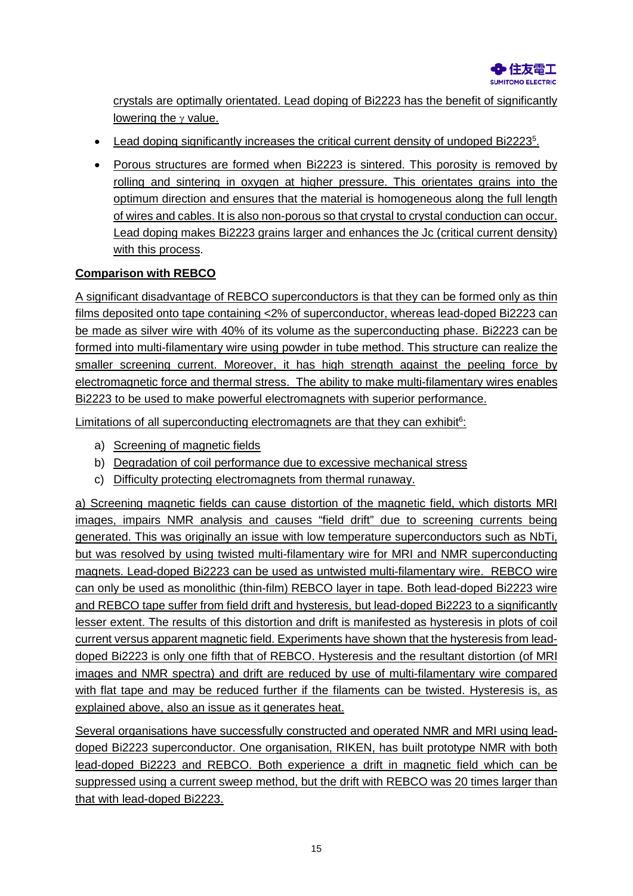

crystals are optimally orientated. Lead doping of Bi2223 has the benefit of significantly lowering the  $\gamma$  value.

- Lead doping significantly increases the critical current density of undoped Bi2223<sup>5</sup>.
- Porous structures are formed when Bi2223 is sintered. This porosity is removed by rolling and sintering in oxygen at higher pressure. This orientates grains into the optimum direction and ensures that the material is homogeneous along the full length of wires and cables. It is also non-porous so that crystal to crystal conduction can occur. Lead doping makes Bi2223 grains larger and enhances the Jc (critical current density) with this process.

## **Comparison with REBCO**

A significant disadvantage of REBCO superconductors is that they can be formed only as thin films deposited onto tape containing <2% of superconductor, whereas lead-doped Bi2223 can be made as silver wire with 40% of its volume as the superconducting phase. Bi2223 can be formed into multi-filamentary wire using powder in tube method. This structure can realize the smaller screening current. Moreover, it has high strength against the peeling force by electromagnetic force and thermal stress. The ability to make multi-filamentary wires enables Bi2223 to be used to make powerful electromagnets with superior performance.

Limitations of all superconducting electromagnets are that they can exhibit<sup>6</sup>:

- a) Screening of magnetic fields
- b) Degradation of coil performance due to excessive mechanical stress
- c) Difficulty protecting electromagnets from thermal runaway.

a) Screening magnetic fields can cause distortion of the magnetic field, which distorts MRI images, impairs NMR analysis and causes "field drift" due to screening currents being generated. This was originally an issue with low temperature superconductors such as NbTi, but was resolved by using twisted multi-filamentary wire for MRI and NMR superconducting magnets. Lead-doped Bi2223 can be used as untwisted multi-filamentary wire. REBCO wire can only be used as monolithic (thin-film) REBCO layer in tape. Both lead-doped Bi2223 wire and REBCO tape suffer from field drift and hysteresis, but lead-doped Bi2223 to a significantly lesser extent. The results of this distortion and drift is manifested as hysteresis in plots of coil current versus apparent magnetic field. Experiments have shown that the hysteresis from leaddoped Bi2223 is only one fifth that of REBCO. Hysteresis and the resultant distortion (of MRI images and NMR spectra) and drift are reduced by use of multi-filamentary wire compared with flat tape and may be reduced further if the filaments can be twisted. Hysteresis is, as explained above, also an issue as it generates heat.

Several organisations have successfully constructed and operated NMR and MRI using leaddoped Bi2223 superconductor. One organisation, RIKEN, has built prototype NMR with both lead-doped Bi2223 and REBCO. Both experience a drift in magnetic field which can be suppressed using a current sweep method, but the drift with REBCO was 20 times larger than that with lead-doped Bi2223.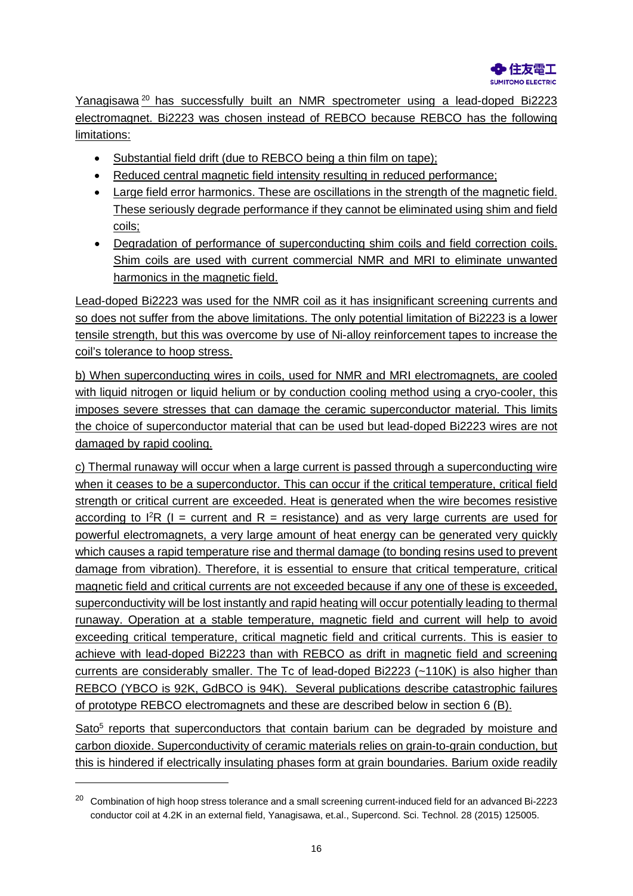Yanagisawa [20](#page-15-0) has successfully built an NMR spectrometer using a lead-doped Bi2223 electromagnet. Bi2223 was chosen instead of REBCO because REBCO has the following limitations:

- Substantial field drift (due to REBCO being a thin film on tape);
- Reduced central magnetic field intensity resulting in reduced performance;
- Large field error harmonics. These are oscillations in the strength of the magnetic field. These seriously degrade performance if they cannot be eliminated using shim and field coils;
- Degradation of performance of superconducting shim coils and field correction coils. Shim coils are used with current commercial NMR and MRI to eliminate unwanted harmonics in the magnetic field.

Lead-doped Bi2223 was used for the NMR coil as it has insignificant screening currents and so does not suffer from the above limitations. The only potential limitation of Bi2223 is a lower tensile strength, but this was overcome by use of Ni-alloy reinforcement tapes to increase the coil's tolerance to hoop stress.

b) When superconducting wires in coils, used for NMR and MRI electromagnets, are cooled with liquid nitrogen or liquid helium or by conduction cooling method using a cryo-cooler, this imposes severe stresses that can damage the ceramic superconductor material. This limits the choice of superconductor material that can be used but lead-doped Bi2223 wires are not damaged by rapid cooling.

c) Thermal runaway will occur when a large current is passed through a superconducting wire when it ceases to be a superconductor. This can occur if the critical temperature, critical field strength or critical current are exceeded. Heat is generated when the wire becomes resistive according to  ${}^{12}R$  (I = current and R = resistance) and as very large currents are used for powerful electromagnets, a very large amount of heat energy can be generated very quickly which causes a rapid temperature rise and thermal damage (to bonding resins used to prevent damage from vibration). Therefore, it is essential to ensure that critical temperature, critical magnetic field and critical currents are not exceeded because if any one of these is exceeded, superconductivity will be lost instantly and rapid heating will occur potentially leading to thermal runaway. Operation at a stable temperature, magnetic field and current will help to avoid exceeding critical temperature, critical magnetic field and critical currents. This is easier to achieve with lead-doped Bi2223 than with REBCO as drift in magnetic field and screening currents are considerably smaller. The Tc of lead-doped Bi2223 (~110K) is also higher than REBCO (YBCO is 92K, GdBCO is 94K). Several publications describe catastrophic failures of prototype REBCO electromagnets and these are described below in section 6 (B).

Sato<sup>5</sup> reports that superconductors that contain barium can be degraded by moisture and carbon dioxide. Superconductivity of ceramic materials relies on grain-to-grain conduction, but this is hindered if electrically insulating phases form at grain boundaries. Barium oxide readily

<span id="page-15-0"></span><sup>&</sup>lt;sup>20</sup> Combination of high hoop stress tolerance and a small screening current-induced field for an advanced Bi-2223 conductor coil at 4.2K in an external field, Yanagisawa, et.al., Supercond. Sci. Technol. 28 (2015) 125005.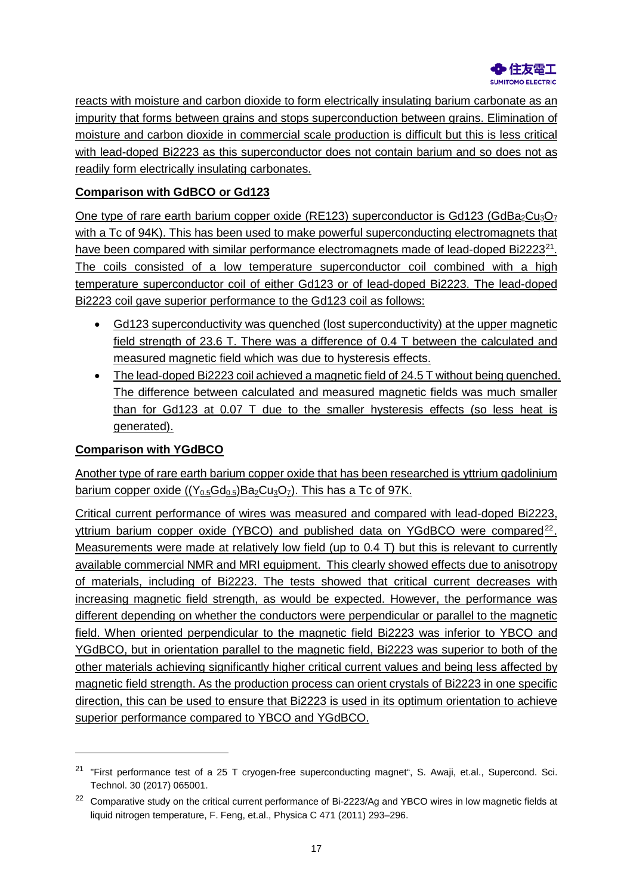

reacts with moisture and carbon dioxide to form electrically insulating barium carbonate as an impurity that forms between grains and stops superconduction between grains. Elimination of moisture and carbon dioxide in commercial scale production is difficult but this is less critical with lead-doped Bi2223 as this superconductor does not contain barium and so does not as readily form electrically insulating carbonates.

# **Comparison with GdBCO or Gd123**

One type of rare earth barium copper oxide (RE123) superconductor is Gd123 (GdBa<sub>2</sub>Cu<sub>3</sub>O<sub>7</sub> with a Tc of 94K). This has been used to make powerful superconducting electromagnets that have been compared with similar performance electromagnets made of lead-doped Bi2223<sup>[21](#page-16-0)</sup>. The coils consisted of a low temperature superconductor coil combined with a high temperature superconductor coil of either Gd123 or of lead-doped Bi2223. The lead-doped Bi2223 coil gave superior performance to the Gd123 coil as follows:

- Gd123 superconductivity was quenched (lost superconductivity) at the upper magnetic field strength of 23.6 T. There was a difference of 0.4 T between the calculated and measured magnetic field which was due to hysteresis effects.
- The lead-doped Bi2223 coil achieved a magnetic field of 24.5 T without being quenched. The difference between calculated and measured magnetic fields was much smaller than for Gd123 at 0.07 T due to the smaller hysteresis effects (so less heat is generated).

## **Comparison with YGdBCO**

-

Another type of rare earth barium copper oxide that has been researched is yttrium gadolinium barium copper oxide  $((Y_{0.5}Gd_{0.5})Ba_2Cu_3O_7)$ . This has a Tc of 97K.

Critical current performance of wires was measured and compared with lead-doped Bi2223, yttrium barium copper oxide (YBCO) and published data on YGdBCO were compared<sup>[22](#page-16-1)</sup>. Measurements were made at relatively low field (up to 0.4 T) but this is relevant to currently available commercial NMR and MRI equipment. This clearly showed effects due to anisotropy of materials, including of Bi2223. The tests showed that critical current decreases with increasing magnetic field strength, as would be expected. However, the performance was different depending on whether the conductors were perpendicular or parallel to the magnetic field. When oriented perpendicular to the magnetic field Bi2223 was inferior to YBCO and YGdBCO, but in orientation parallel to the magnetic field, Bi2223 was superior to both of the other materials achieving significantly higher critical current values and being less affected by magnetic field strength. As the production process can orient crystals of Bi2223 in one specific direction, this can be used to ensure that Bi2223 is used in its optimum orientation to achieve superior performance compared to YBCO and YGdBCO.

<span id="page-16-0"></span><sup>&</sup>lt;sup>21</sup> "First performance test of a 25 T cryogen-free superconducting magnet", S. Awaji, et.al., Supercond. Sci. Technol. 30 (2017) 065001.

<span id="page-16-1"></span><sup>&</sup>lt;sup>22</sup> Comparative study on the critical current performance of Bi-2223/Ag and YBCO wires in low magnetic fields at liquid nitrogen temperature, F. Feng, et.al., Physica C 471 (2011) 293–296.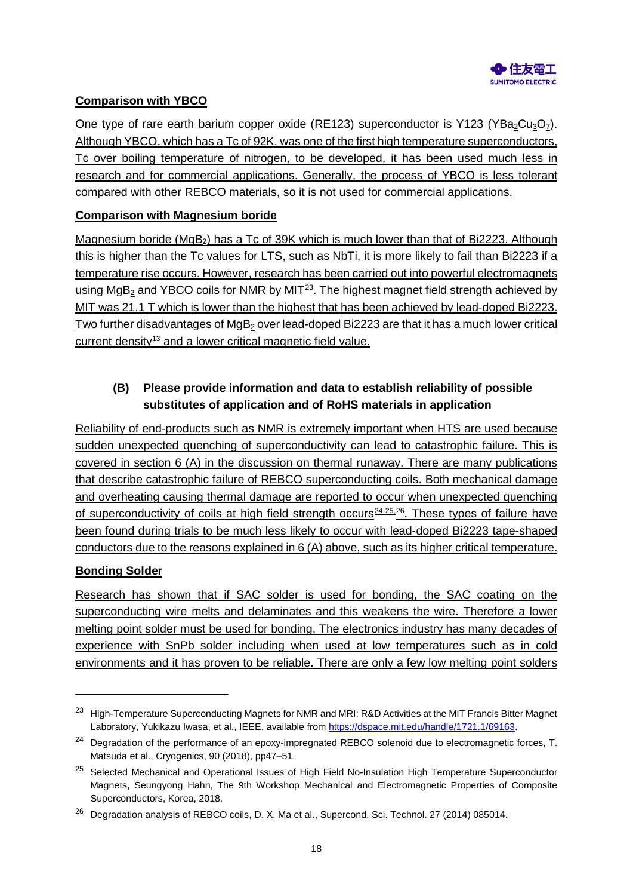

# **Comparison with YBCO**

One type of rare earth barium copper oxide (RE123) superconductor is Y123 (YBa<sub>2</sub>Cu<sub>3</sub>O<sub>7</sub>). Although YBCO, which has a Tc of 92K, was one of the first high temperature superconductors, Tc over boiling temperature of nitrogen, to be developed, it has been used much less in research and for commercial applications. Generally, the process of YBCO is less tolerant compared with other REBCO materials, so it is not used for commercial applications.

#### **Comparison with Magnesium boride**

Magnesium boride (MgB2) has a Tc of 39K which is much lower than that of Bi2223. Although this is higher than the Tc values for LTS, such as NbTi, it is more likely to fail than Bi2223 if a temperature rise occurs. However, research has been carried out into powerful electromagnets using  $MgB<sub>2</sub>$  and YBCO coils for NMR by MIT<sup>23</sup>. The highest magnet field strength achieved by MIT was 21.1 T which is lower than the highest that has been achieved by lead-doped Bi2223. Two further disadvantages of MgB<sub>2</sub> over lead-doped Bi2223 are that it has a much lower critical current density<sup>13</sup> and a lower critical magnetic field value.

# **(B) Please provide information and data to establish reliability of possible substitutes of application and of RoHS materials in application**

Reliability of end-products such as NMR is extremely important when HTS are used because sudden unexpected quenching of superconductivity can lead to catastrophic failure. This is covered in section 6 (A) in the discussion on thermal runaway. There are many publications that describe catastrophic failure of REBCO superconducting coils. Both mechanical damage and overheating causing thermal damage are reported to occur when unexpected quenching of superconductivity of coils at high field strength occurs<sup>24,[25](#page-17-2),[26](#page-17-3)</sup>. These types of failure have been found during trials to be much less likely to occur with lead-doped Bi2223 tape-shaped conductors due to the reasons explained in 6 (A) above, such as its higher critical temperature.

#### **Bonding Solder**

-

Research has shown that if SAC solder is used for bonding, the SAC coating on the superconducting wire melts and delaminates and this weakens the wire. Therefore a lower melting point solder must be used for bonding. The electronics industry has many decades of experience with SnPb solder including when used at low temperatures such as in cold environments and it has proven to be reliable. There are only a few low melting point solders

<span id="page-17-0"></span><sup>&</sup>lt;sup>23</sup> High-Temperature Superconducting Magnets for NMR and MRI: R&D Activities at the MIT Francis Bitter Magnet Laboratory, Yukikazu Iwasa, et al., IEEE, available from [https://dspace.mit.edu/handle/1721.1/69163.](https://dspace.mit.edu/handle/1721.1/69163)

<span id="page-17-1"></span><sup>&</sup>lt;sup>24</sup> Degradation of the performance of an epoxy-impregnated REBCO solenoid due to electromagnetic forces, T. Matsuda et al., Cryogenics, 90 (2018), pp47–51.

<span id="page-17-2"></span><sup>&</sup>lt;sup>25</sup> Selected Mechanical and Operational Issues of High Field No-Insulation High Temperature Superconductor Magnets, Seungyong Hahn, The 9th Workshop Mechanical and Electromagnetic Properties of Composite Superconductors, Korea, 2018.

<span id="page-17-3"></span><sup>&</sup>lt;sup>26</sup> Degradation analysis of REBCO coils, D. X. Ma et al., Supercond. Sci. Technol. 27 (2014) 085014.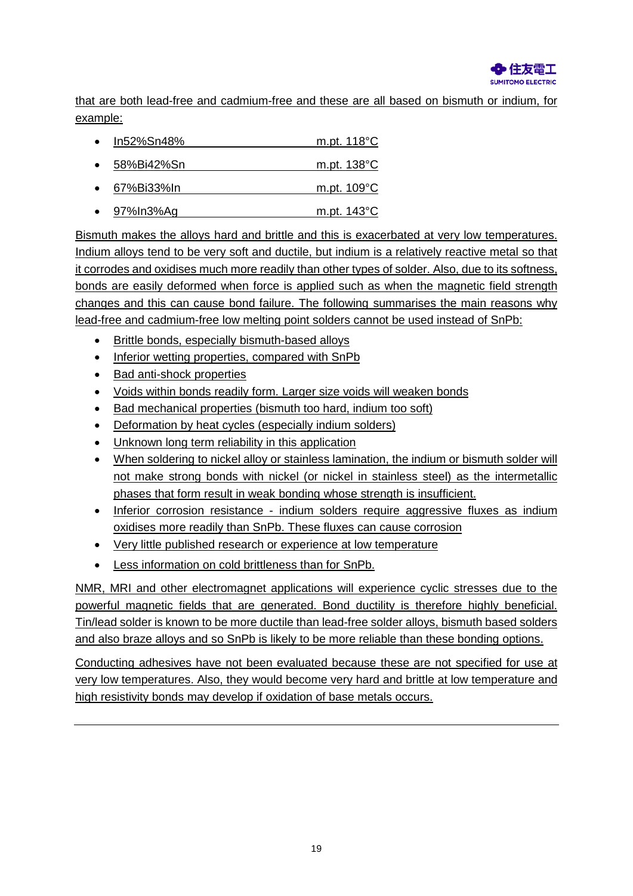

that are both lead-free and cadmium-free and these are all based on bismuth or indium, for example:

- In52%Sn48% m.pt. 118°C
- 58%Bi42%Sn m.pt. 138°C
- 67%Bi33%In m.pt. 109°C
- $\bullet$  97%In3%Ag m.pt. 143 °C

Bismuth makes the alloys hard and brittle and this is exacerbated at very low temperatures. Indium alloys tend to be very soft and ductile, but indium is a relatively reactive metal so that it corrodes and oxidises much more readily than other types of solder. Also, due to its softness, bonds are easily deformed when force is applied such as when the magnetic field strength changes and this can cause bond failure. The following summarises the main reasons why lead-free and cadmium-free low melting point solders cannot be used instead of SnPb:

- Brittle bonds, especially bismuth-based alloys
- Inferior wetting properties, compared with SnPb
- Bad anti-shock properties
- Voids within bonds readily form. Larger size voids will weaken bonds
- Bad mechanical properties (bismuth too hard, indium too soft)
- Deformation by heat cycles (especially indium solders)
- Unknown long term reliability in this application
- When soldering to nickel alloy or stainless lamination, the indium or bismuth solder will not make strong bonds with nickel (or nickel in stainless steel) as the intermetallic phases that form result in weak bonding whose strength is insufficient.
- Inferior corrosion resistance indium solders require aggressive fluxes as indium oxidises more readily than SnPb. These fluxes can cause corrosion
- Very little published research or experience at low temperature
- Less information on cold brittleness than for SnPb.

NMR, MRI and other electromagnet applications will experience cyclic stresses due to the powerful magnetic fields that are generated. Bond ductility is therefore highly beneficial. Tin/lead solder is known to be more ductile than lead-free solder alloys, bismuth based solders and also braze alloys and so SnPb is likely to be more reliable than these bonding options.

Conducting adhesives have not been evaluated because these are not specified for use at very low temperatures. Also, they would become very hard and brittle at low temperature and high resistivity bonds may develop if oxidation of base metals occurs.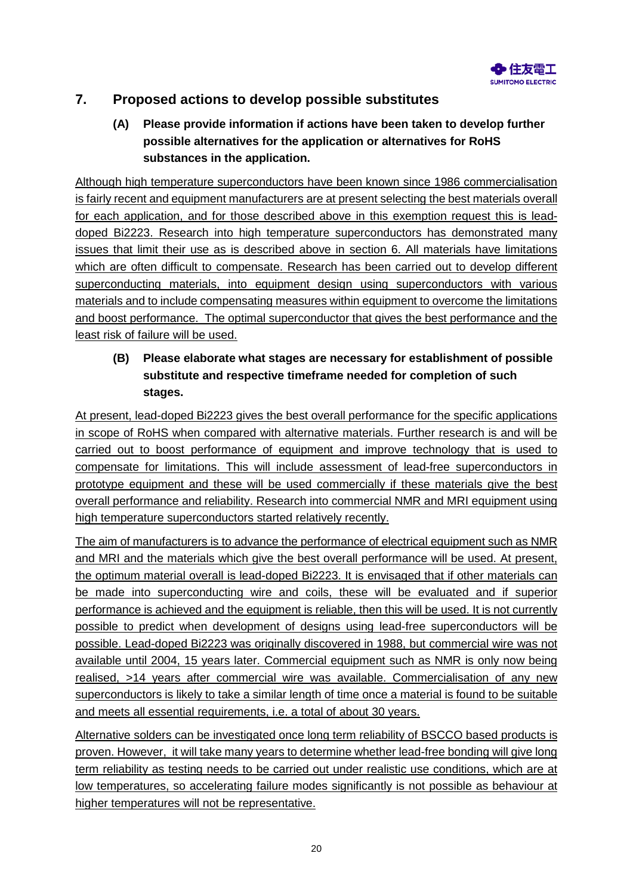

# **7. Proposed actions to develop possible substitutes**

# **(A) Please provide information if actions have been taken to develop further possible alternatives for the application or alternatives for RoHS substances in the application.**

Although high temperature superconductors have been known since 1986 commercialisation is fairly recent and equipment manufacturers are at present selecting the best materials overall for each application, and for those described above in this exemption request this is leaddoped Bi2223. Research into high temperature superconductors has demonstrated many issues that limit their use as is described above in section 6. All materials have limitations which are often difficult to compensate. Research has been carried out to develop different superconducting materials, into equipment design using superconductors with various materials and to include compensating measures within equipment to overcome the limitations and boost performance. The optimal superconductor that gives the best performance and the least risk of failure will be used.

# **(B) Please elaborate what stages are necessary for establishment of possible substitute and respective timeframe needed for completion of such stages.**

At present, lead-doped Bi2223 gives the best overall performance for the specific applications in scope of RoHS when compared with alternative materials. Further research is and will be carried out to boost performance of equipment and improve technology that is used to compensate for limitations. This will include assessment of lead-free superconductors in prototype equipment and these will be used commercially if these materials give the best overall performance and reliability. Research into commercial NMR and MRI equipment using high temperature superconductors started relatively recently.

The aim of manufacturers is to advance the performance of electrical equipment such as NMR and MRI and the materials which give the best overall performance will be used. At present, the optimum material overall is lead-doped Bi2223. It is envisaged that if other materials can be made into superconducting wire and coils, these will be evaluated and if superior performance is achieved and the equipment is reliable, then this will be used. It is not currently possible to predict when development of designs using lead-free superconductors will be possible. Lead-doped Bi2223 was originally discovered in 1988, but commercial wire was not available until 2004, 15 years later. Commercial equipment such as NMR is only now being realised, >14 years after commercial wire was available. Commercialisation of any new superconductors is likely to take a similar length of time once a material is found to be suitable and meets all essential requirements, i.e. a total of about 30 years.

Alternative solders can be investigated once long term reliability of BSCCO based products is proven. However, it will take many years to determine whether lead-free bonding will give long term reliability as testing needs to be carried out under realistic use conditions, which are at low temperatures, so accelerating failure modes significantly is not possible as behaviour at higher temperatures will not be representative.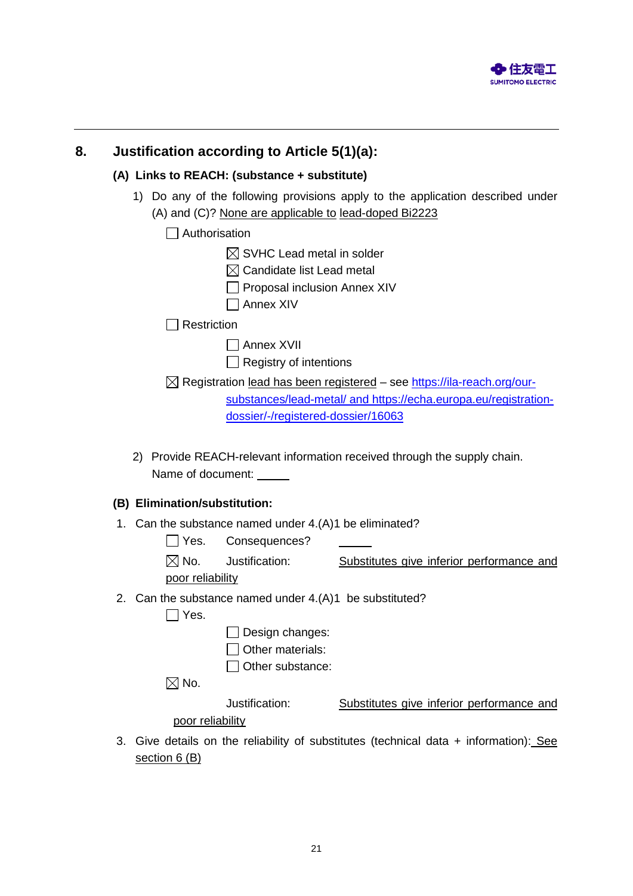

# **8. Justification according to Article 5(1)(a):**

#### **(A) Links to REACH: (substance + substitute)**

- 1) Do any of the following provisions apply to the application described under (A) and (C)? None are applicable to lead-doped Bi2223
	- □ Authorisation
		- $\boxtimes$  SVHC Lead metal in solder
		- $\boxtimes$  Candidate list Lead metal
		- $\Box$  Proposal inclusion Annex XIV
		- Annex XIV

 $\Box$  Restriction

- Annex XVII
- $\Box$  Registry of intentions

⊠ Registration lead has been registered – see [https://ila-reach.org/our-](https://ila-reach.org/our-substances/lead-metal/)

[substances/lead-metal/](https://ila-reach.org/our-substances/lead-metal/) and [https://echa.europa.eu/registration](https://echa.europa.eu/registration-dossier/-/registered-dossier/16063)[dossier/-/registered-dossier/16063](https://echa.europa.eu/registration-dossier/-/registered-dossier/16063) 

2) Provide REACH-relevant information received through the supply chain. Name of document:

#### **(B) Elimination/substitution:**

- 1. Can the substance named under 4.(A)1 be eliminated?
	- Yes. Consequences?
	- $\boxtimes$  No. Justification: Substitutes give inferior performance and

poor reliability

2. Can the substance named under 4.(A)1 be substituted?

 $\Box$  Yes.

 $\Box$  Design changes:

Other materials:

□ Other substance:

 $\boxtimes$  No.

Justification: Substitutes give inferior performance and

poor reliability

3. Give details on the reliability of substitutes (technical data + information): See section 6 (B)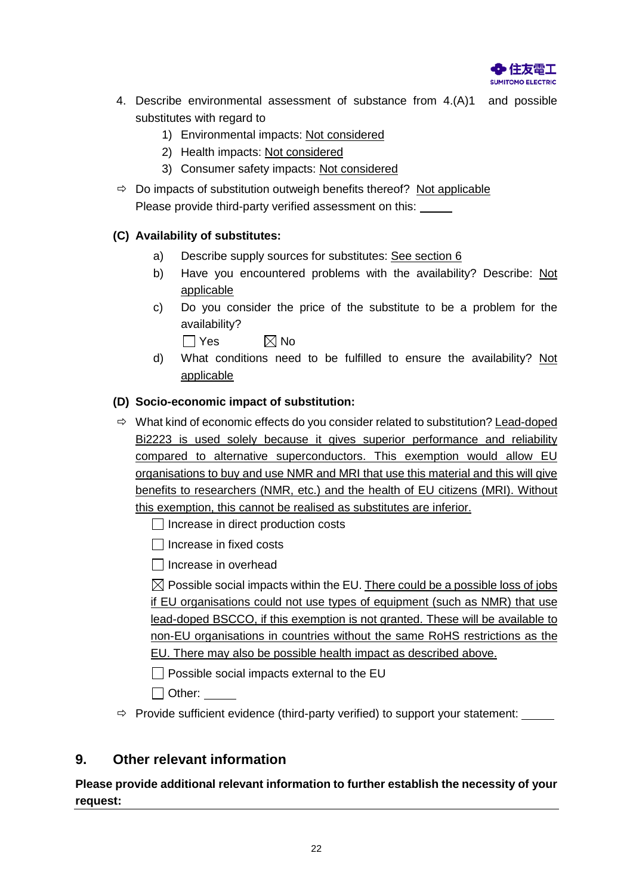

- 4. Describe environmental assessment of substance from 4.(A)1 and possible substitutes with regard to
	- 1) Environmental impacts: Not considered
	- 2) Health impacts: Not considered
	- 3) Consumer safety impacts: Not considered
- $\Rightarrow$  Do impacts of substitution outweigh benefits thereof? Not applicable Please provide third-party verified assessment on this:

# **(C) Availability of substitutes:**

- a) Describe supply sources for substitutes: See section 6
- b) Have you encountered problems with the availability? Describe: Not applicable
- c) Do you consider the price of the substitute to be a problem for the availability?

 $\Box$  Yes  $\boxtimes$  No

d) What conditions need to be fulfilled to ensure the availability? Not applicable

## **(D) Socio-economic impact of substitution:**

- $\Rightarrow$  What kind of economic effects do you consider related to substitution? Lead-doped Bi2223 is used solely because it gives superior performance and reliability compared to alternative superconductors. This exemption would allow EU organisations to buy and use NMR and MRI that use this material and this will give benefits to researchers (NMR, etc.) and the health of EU citizens (MRI). Without this exemption, this cannot be realised as substitutes are inferior.
	- $\Box$  Increase in direct production costs
	- $\Box$  Increase in fixed costs
	- Increase in overhead

 $\boxtimes$  Possible social impacts within the EU. There could be a possible loss of jobs if EU organisations could not use types of equipment (such as NMR) that use lead-doped BSCCO, if this exemption is not granted. These will be available to non-EU organisations in countries without the same RoHS restrictions as the EU. There may also be possible health impact as described above.

- $\Box$  Possible social impacts external to the EU
- □ Other:
- $\Rightarrow$  Provide sufficient evidence (third-party verified) to support your statement:  $\sqrt{ }$

# **9. Other relevant information**

**Please provide additional relevant information to further establish the necessity of your request:**